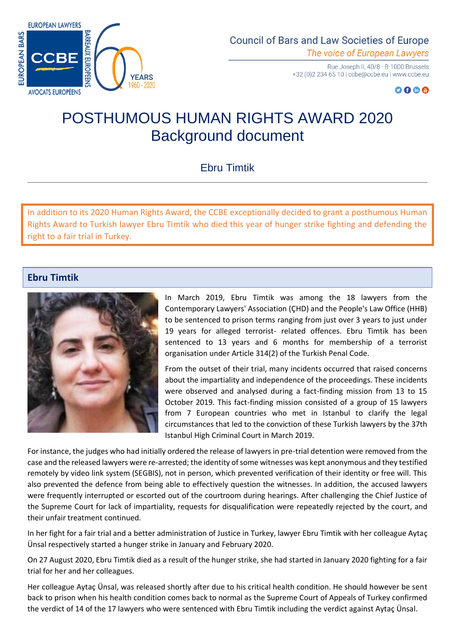

Rue Joseph II, 40/8 - B-1000 Brussels +32 (0)2 234 65 10 | ccbe@ccbe.eu | www.ccbe.eu

## $O O @ @$

## POSTHUMOUS HUMAN RIGHTS AWARD 2020 Background document

## Ebru Timtik

In addition to its 2020 Human Rights Award, the CCBE exceptionally decided to grant a posthumous Human Rights Award to Turkish lawyer Ebru Timtik who died this year of hunger strike fighting and defending the right to a fair trial in Turkey.

## **Ebru Timtik**



In March 2019, Ebru Timtik was among the 18 lawyers from the Contemporary Lawyers' Association (ÇHD) and the People's Law Office (HHB) to be sentenced to prison terms ranging from just over 3 years to just under 19 years for alleged terrorist- related offences. Ebru Timtik has been sentenced to 13 years and 6 months for membership of a terrorist organisation under Article 314(2) of the Turkish Penal Code.

From the outset of their trial, many incidents occurred that raised concerns about the impartiality and independence of the proceedings. These incidents were observed and analysed during a fact-finding mission from 13 to 15 October 2019. This fact-finding mission consisted of a group of 15 lawyers from 7 European countries who met in Istanbul to clarify the legal circumstances that led to the conviction of these Turkish lawyers by the 37th Istanbul High Criminal Court in March 2019.

For instance, the judges who had initially ordered the release of lawyers in pre-trial detention were removed from the case and the released lawyers were re-arrested; the identity of some witnesses was kept anonymous and they testified remotely by video link system (SEGBIS), not in person, which prevented verification of their identity or free will. This also prevented the defence from being able to effectively question the witnesses. In addition, the accused lawyers were frequently interrupted or escorted out of the courtroom during hearings. After challenging the Chief Justice of the Supreme Court for lack of impartiality, requests for disqualification were repeatedly rejected by the court, and their unfair treatment continued.

In her fight for a fair trial and a better administration of Justice in Turkey, lawyer Ebru Timtik with her colleague Aytaç Ünsal respectively started a hunger strike in January and February 2020.

On 27 August 2020, Ebru Timtik died as a result of the hunger strike, she had started in January 2020 fighting for a fair trial for her and her colleagues.

Her colleague Aytaç Ünsal, was released shortly after due to his critical health condition. He should however be sent back to prison when his health condition comes back to normal as the Supreme Court of Appeals of Turkey confirmed the verdict of 14 of the 17 lawyers who were sentenced with Ebru Timtik including the verdict against Aytaç Ünsal.